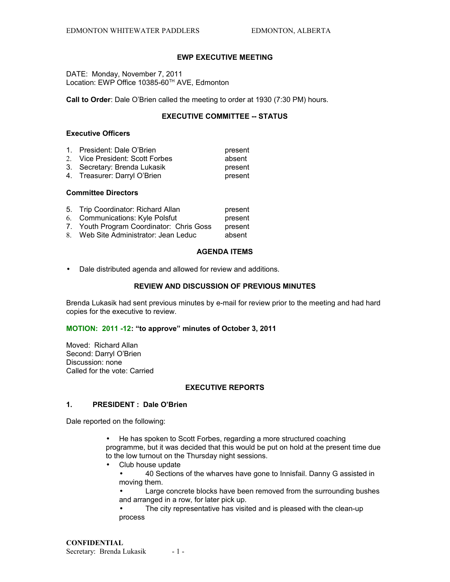# **EWP EXECUTIVE MEETING**

DATE: Monday, November 7, 2011 Location: EWP Office 10385-60<sup>TH</sup> AVE, Edmonton

**Call to Order**: Dale O'Brien called the meeting to order at 1930 (7:30 PM) hours.

# **EXECUTIVE COMMITTEE -- STATUS**

## **Executive Officers**

| 1. President: Dale O'Brien      | present |
|---------------------------------|---------|
| 2. Vice President: Scott Forbes | absent  |
| 3. Secretary: Brenda Lukasik    | present |
| 4. Treasurer: Darryl O'Brien    | present |

#### **Committee Directors**

| 5. Trip Coordinator: Richard Allan       | present |
|------------------------------------------|---------|
| 6. Communications: Kyle Polsfut          | present |
| 7. Youth Program Coordinator: Chris Goss | present |
| 8. Web Site Administrator: Jean Leduc    | absent  |

### **AGENDA ITEMS**

• Dale distributed agenda and allowed for review and additions.

### **REVIEW AND DISCUSSION OF PREVIOUS MINUTES**

Brenda Lukasik had sent previous minutes by e-mail for review prior to the meeting and had hard copies for the executive to review.

#### **MOTION: 2011 -12: "to approve" minutes of October 3, 2011**

Moved: Richard Allan Second: Darryl O'Brien Discussion: none Called for the vote: Carried

#### **EXECUTIVE REPORTS**

### **1. PRESIDENT : Dale O'Brien**

Dale reported on the following:

• He has spoken to Scott Forbes, regarding a more structured coaching programme, but it was decided that this would be put on hold at the present time due to the low turnout on the Thursday night sessions.

• Club house update

• 40 Sections of the wharves have gone to Innisfail. Danny G assisted in moving them.

Large concrete blocks have been removed from the surrounding bushes and arranged in a row, for later pick up.

• The city representative has visited and is pleased with the clean-up process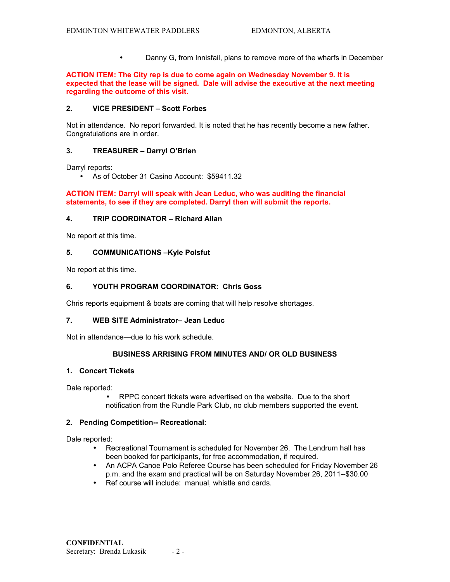• Danny G, from Innisfail, plans to remove more of the wharfs in December

**ACTION ITEM: The City rep is due to come again on Wednesday November 9. It is expected that the lease will be signed. Dale will advise the executive at the next meeting regarding the outcome of this visit.** 

# **2. VICE PRESIDENT – Scott Forbes**

Not in attendance. No report forwarded. It is noted that he has recently become a new father. Congratulations are in order.

### **3. TREASURER – Darryl O'Brien**

Darryl reports:

• As of October 31 Casino Account: \$59411.32

**ACTION ITEM: Darryl will speak with Jean Leduc, who was auditing the financial statements, to see if they are completed. Darryl then will submit the reports.**

### **4. TRIP COORDINATOR – Richard Allan**

No report at this time.

#### **5. COMMUNICATIONS –Kyle Polsfut**

No report at this time.

## **6. YOUTH PROGRAM COORDINATOR: Chris Goss**

Chris reports equipment & boats are coming that will help resolve shortages.

### **7. WEB SITE Administrator– Jean Leduc**

Not in attendance—due to his work schedule.

## **BUSINESS ARRISING FROM MINUTES AND/ OR OLD BUSINESS**

#### **1. Concert Tickets**

Dale reported:

• RPPC concert tickets were advertised on the website. Due to the short notification from the Rundle Park Club, no club members supported the event.

### **2. Pending Competition-- Recreational:**

Dale reported:

- Recreational Tournament is scheduled for November 26. The Lendrum hall has been booked for participants, for free accommodation, if required.
- An ACPA Canoe Polo Referee Course has been scheduled for Friday November 26 p.m. and the exam and practical will be on Saturday November 26, 2011--\$30.00
- Ref course will include: manual, whistle and cards.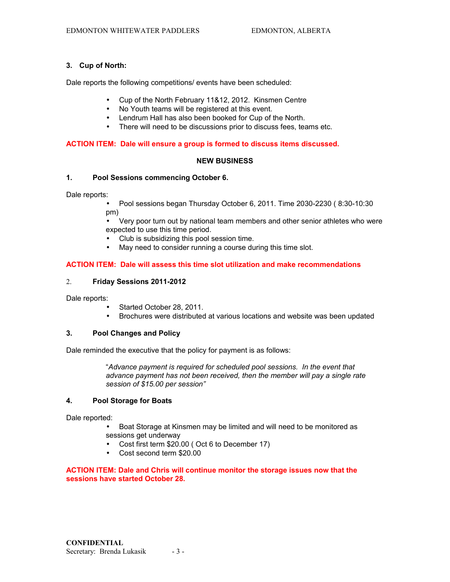### **3. Cup of North:**

Dale reports the following competitions/ events have been scheduled:

- Cup of the North February 11&12, 2012. Kinsmen Centre
- No Youth teams will be registered at this event.
- Lendrum Hall has also been booked for Cup of the North.
- There will need to be discussions prior to discuss fees, teams etc.

### **ACTION ITEM: Dale will ensure a group is formed to discuss items discussed.**

### **NEW BUSINESS**

# **1. Pool Sessions commencing October 6.**

Dale reports:

• Pool sessions began Thursday October 6, 2011. Time 2030-2230 ( 8:30-10:30 pm)

• Very poor turn out by national team members and other senior athletes who were expected to use this time period.

- Club is subsidizing this pool session time.
- May need to consider running a course during this time slot.

# **ACTION ITEM: Dale will assess this time slot utilization and make recommendations**

### 2. **Friday Sessions 2011-2012**

Dale reports:

- Started October 28, 2011.
- Brochures were distributed at various locations and website was been updated

### **3. Pool Changes and Policy**

Dale reminded the executive that the policy for payment is as follows:

"*Advance payment is required for scheduled pool sessions. In the event that advance payment has not been received, then the member will pay a single rate session of \$15.00 per session"*

# **4. Pool Storage for Boats**

Dale reported:

- Boat Storage at Kinsmen may be limited and will need to be monitored as sessions get underway
- Cost first term \$20.00 ( Oct 6 to December 17)
- Cost second term \$20.00

### **ACTION ITEM: Dale and Chris will continue monitor the storage issues now that the sessions have started October 28.**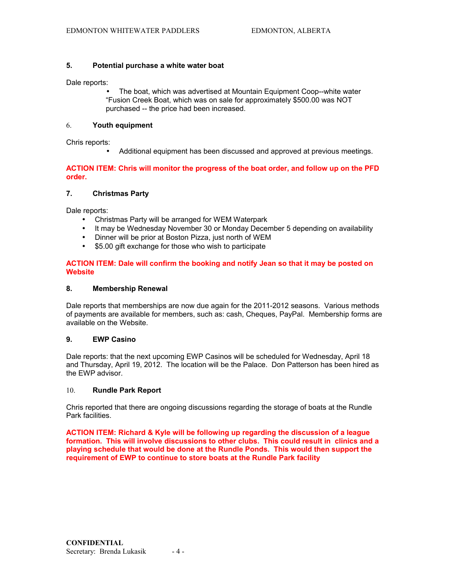## **5. Potential purchase a white water boat**

Dale reports:

• The boat, which was advertised at Mountain Equipment Coop--white water "Fusion Creek Boat, which was on sale for approximately \$500.00 was NOT purchased -- the price had been increased.

#### 6. **Youth equipment**

Chris reports:

• Additional equipment has been discussed and approved at previous meetings.

## **ACTION ITEM: Chris will monitor the progress of the boat order, and follow up on the PFD order.**

# **7. Christmas Party**

Dale reports:

- Christmas Party will be arranged for WEM Waterpark
- It may be Wednesday November 30 or Monday December 5 depending on availability
- Dinner will be prior at Boston Pizza, just north of WEM
- \$5.00 gift exchange for those who wish to participate

# **ACTION ITEM: Dale will confirm the booking and notify Jean so that it may be posted on Website**

#### **8. Membership Renewal**

Dale reports that memberships are now due again for the 2011-2012 seasons. Various methods of payments are available for members, such as: cash, Cheques, PayPal. Membership forms are available on the Website.

# **9. EWP Casino**

Dale reports: that the next upcoming EWP Casinos will be scheduled for Wednesday, April 18 and Thursday, April 19, 2012. The location will be the Palace. Don Patterson has been hired as the EWP advisor.

### 10. **Rundle Park Report**

Chris reported that there are ongoing discussions regarding the storage of boats at the Rundle Park facilities.

**ACTION ITEM: Richard & Kyle will be following up regarding the discussion of a league formation. This will involve discussions to other clubs. This could result in clinics and a playing schedule that would be done at the Rundle Ponds. This would then support the requirement of EWP to continue to store boats at the Rundle Park facility**